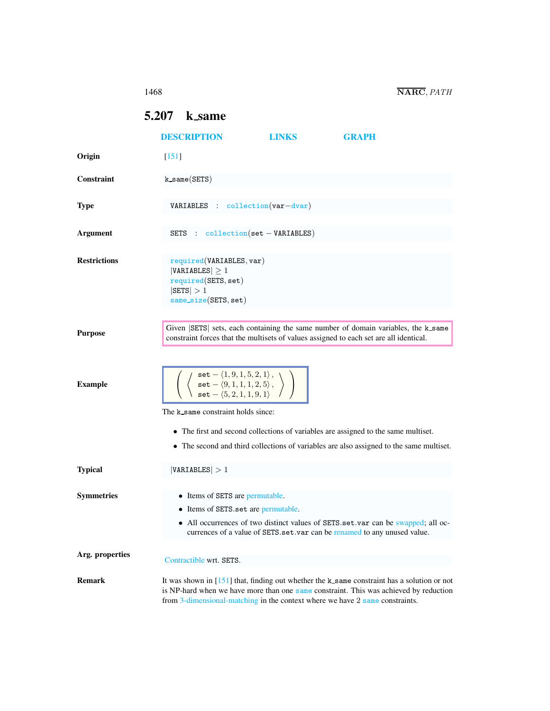## <span id="page-0-0"></span>5.207 k same

|                     | <b>DESCRIPTION</b>                                                                                                                                                                                                                             | <b>LINKS</b> | <b>GRAPH</b>                                                                                                                                                                           |  |
|---------------------|------------------------------------------------------------------------------------------------------------------------------------------------------------------------------------------------------------------------------------------------|--------------|----------------------------------------------------------------------------------------------------------------------------------------------------------------------------------------|--|
| Origin              | $\lceil 151 \rceil$                                                                                                                                                                                                                            |              |                                                                                                                                                                                        |  |
| <b>Constraint</b>   | $k$ same $(SETS)$                                                                                                                                                                                                                              |              |                                                                                                                                                                                        |  |
|                     |                                                                                                                                                                                                                                                |              |                                                                                                                                                                                        |  |
| <b>Type</b>         | $VARIABLES : collection(var-dvar)$                                                                                                                                                                                                             |              |                                                                                                                                                                                        |  |
|                     |                                                                                                                                                                                                                                                |              |                                                                                                                                                                                        |  |
| <b>Argument</b>     | SETS : $\text{collection}(\text{set} - \text{VARIABLES})$                                                                                                                                                                                      |              |                                                                                                                                                                                        |  |
|                     |                                                                                                                                                                                                                                                |              |                                                                                                                                                                                        |  |
| <b>Restrictions</b> | required(VARIABLES, var)<br>$ VARIABLES  \geq 1$<br>required(SETS, set)<br>$ \texttt{SETS}  > 1$<br>$same_size(SETS, set)$                                                                                                                     |              |                                                                                                                                                                                        |  |
|                     |                                                                                                                                                                                                                                                |              |                                                                                                                                                                                        |  |
| <b>Purpose</b>      | constraint forces that the multisets of values assigned to each set are all identical.                                                                                                                                                         |              | Given SETS sets, each containing the same number of domain variables, the k same                                                                                                       |  |
| <b>Example</b>      | $\left\langle \begin{array}{c} \texttt{set} - \langle 1,9,1,5,2,1 \rangle \,, \\ \texttt{set} - \langle 9,1,1,1,2,5 \rangle \,, \\ \texttt{set} - \langle 5,2,1,1,9,1 \rangle \end{array} \right\rangle$<br>The k same constraint holds since: |              | • The first and second collections of variables are assigned to the same multiset.<br>• The second and third collections of variables are also assigned to the same multiset.          |  |
| <b>Typical</b>      | VARIABLES  > 1                                                                                                                                                                                                                                 |              |                                                                                                                                                                                        |  |
| <b>Symmetries</b>   | • Items of SETS are permutable.<br>• Items of SETS.set are permutable.                                                                                                                                                                         |              | • All occurrences of two distinct values of SETS.set.var can be swapped; all oc-<br>currences of a value of SETS set var can be renamed to any unused value                            |  |
| Arg. properties     |                                                                                                                                                                                                                                                |              |                                                                                                                                                                                        |  |
|                     | Contractible wrt. SETS.                                                                                                                                                                                                                        |              |                                                                                                                                                                                        |  |
| <b>Remark</b>       | from 3-dimensional-matching in the context where we have 2 same constraints.                                                                                                                                                                   |              | It was shown in $[151]$ that, finding out whether the k_same constraint has a solution or not<br>is NP-hard when we have more than one same constraint. This was achieved by reduction |  |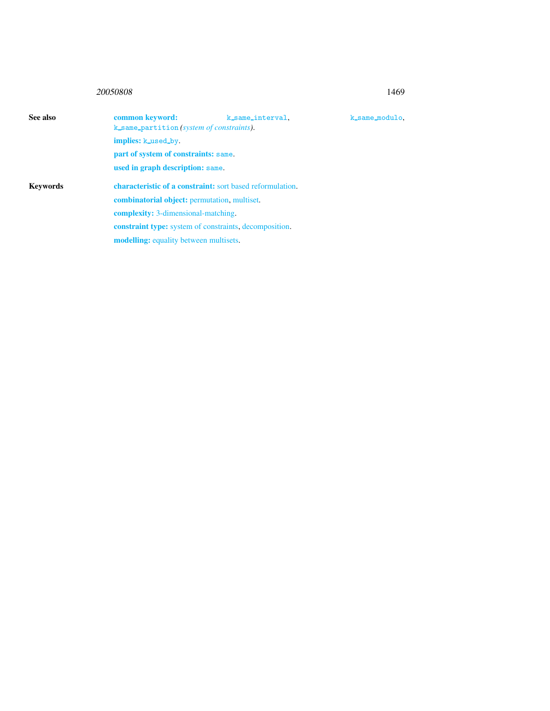## 20050808 1469

<span id="page-1-0"></span>

| See also        | common keyword:                                               | k_same_interval.                                                 | k_same_modulo. |  |  |
|-----------------|---------------------------------------------------------------|------------------------------------------------------------------|----------------|--|--|
|                 |                                                               | k_same_partition(system of constraints).                         |                |  |  |
|                 | implies: k_used_by.                                           |                                                                  |                |  |  |
|                 |                                                               | part of system of constraints: same.                             |                |  |  |
|                 | used in graph description: same.                              |                                                                  |                |  |  |
| <b>Keywords</b> |                                                               | <b>characteristic of a constraint:</b> sort based reformulation. |                |  |  |
|                 | <b>combinatorial object:</b> permutation, multiset.           |                                                                  |                |  |  |
|                 | <b>complexity:</b> 3-dimensional-matching.                    |                                                                  |                |  |  |
|                 | <b>constraint type:</b> system of constraints, decomposition. |                                                                  |                |  |  |
|                 | <b>modelling:</b> equality between multisets.                 |                                                                  |                |  |  |
|                 |                                                               |                                                                  |                |  |  |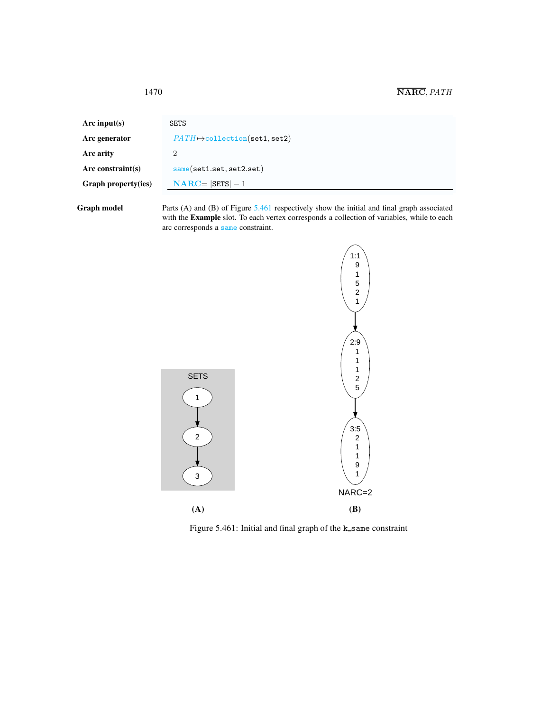<span id="page-2-0"></span>

| Arc input(s)         | <b>SETS</b>                           |
|----------------------|---------------------------------------|
| Arc generator        | $PATH \mapsto$ collection(set1, set2) |
| Arc arity            | 2                                     |
| Arc constraint $(s)$ | same(set1.set.set2.set)               |
| Graph property(ies)  | $NARC =  SETS  - 1$                   |
|                      |                                       |

Graph model Parts (A) and (B) of Figure [5.461](#page-2-1) respectively show the initial and final graph associated with the **Example** slot. To each vertex corresponds a collection of variables, while to each arc corresponds a same constraint.



<span id="page-2-1"></span>Figure 5.461: Initial and final graph of the k\_same constraint